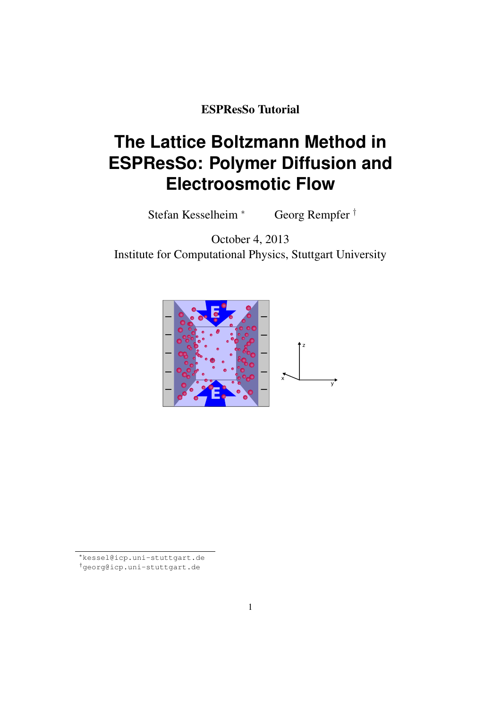ESPResSo Tutorial

# **The Lattice Boltzmann Method in ESPResSo: Polymer Diffusion and Electroosmotic Flow**

Stefan Kesselheim <sup>∗</sup> Georg Rempfer †

October 4, 2013 Institute for Computational Physics, Stuttgart University



<sup>∗</sup>kessel@icp.uni-stuttgart.de †georg@icp.uni-stuttgart.de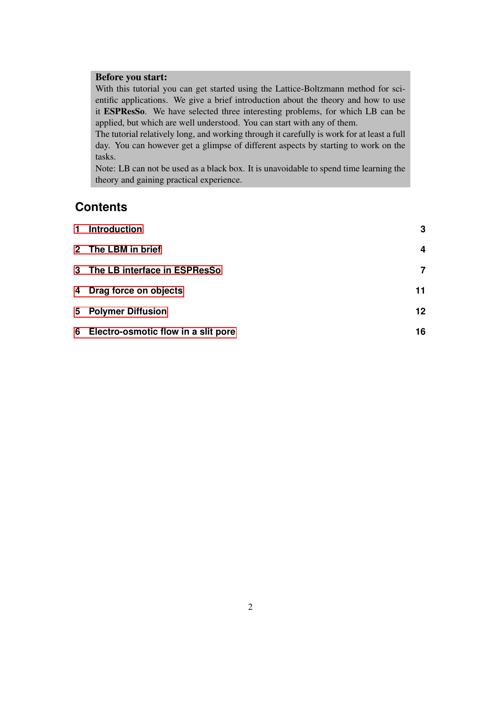## Before you start:

With this tutorial you can get started using the Lattice-Boltzmann method for scientific applications. We give a brief introduction about the theory and how to use it ESPResSo. We have selected three interesting problems, for which LB can be applied, but which are well understood. You can start with any of them.

The tutorial relatively long, and working through it carefully is work for at least a full day. You can however get a glimpse of different aspects by starting to work on the tasks.

Note: LB can not be used as a black box. It is unavoidable to spend time learning the theory and gaining practical experience.

# **Contents**

| 1 Introduction                        | $\mathbf{3}$ |
|---------------------------------------|--------------|
| 2 The LBM in brief                    | 4            |
| 3 The LB interface in ESPResSo        | 7            |
| 4 Drag force on objects               | 11           |
| 5 Polymer Diffusion                   | 12           |
| 6 Electro-osmotic flow in a slit pore | 16           |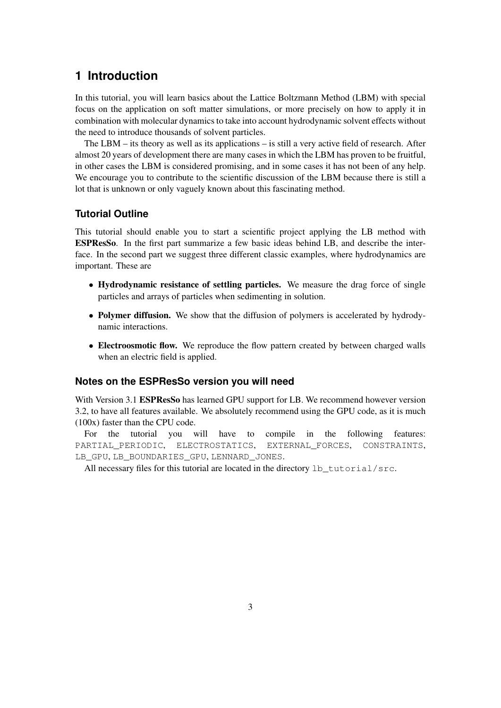# <span id="page-2-0"></span>**1 Introduction**

In this tutorial, you will learn basics about the Lattice Boltzmann Method (LBM) with special focus on the application on soft matter simulations, or more precisely on how to apply it in combination with molecular dynamics to take into account hydrodynamic solvent effects without the need to introduce thousands of solvent particles.

The LBM  $-$  its theory as well as its applications  $-$  is still a very active field of research. After almost 20 years of development there are many cases in which the LBM has proven to be fruitful, in other cases the LBM is considered promising, and in some cases it has not been of any help. We encourage you to contribute to the scientific discussion of the LBM because there is still a lot that is unknown or only vaguely known about this fascinating method.

# **Tutorial Outline**

This tutorial should enable you to start a scientific project applying the LB method with ESPResSo. In the first part summarize a few basic ideas behind LB, and describe the interface. In the second part we suggest three different classic examples, where hydrodynamics are important. These are

- Hydrodynamic resistance of settling particles. We measure the drag force of single particles and arrays of particles when sedimenting in solution.
- Polymer diffusion. We show that the diffusion of polymers is accelerated by hydrodynamic interactions.
- Electroosmotic flow. We reproduce the flow pattern created by between charged walls when an electric field is applied.

# **Notes on the ESPResSo version you will need**

With Version 3.1 ESPResSo has learned GPU support for LB. We recommend however version 3.2, to have all features available. We absolutely recommend using the GPU code, as it is much (100x) faster than the CPU code.

For the tutorial you will have to compile in the following features: PARTIAL PERIODIC, ELECTROSTATICS, EXTERNAL\_FORCES, CONSTRAINTS, LB\_GPU, LB\_BOUNDARIES\_GPU, LENNARD\_JONES.

All necessary files for this tutorial are located in the directory 1b\_tutorial/src.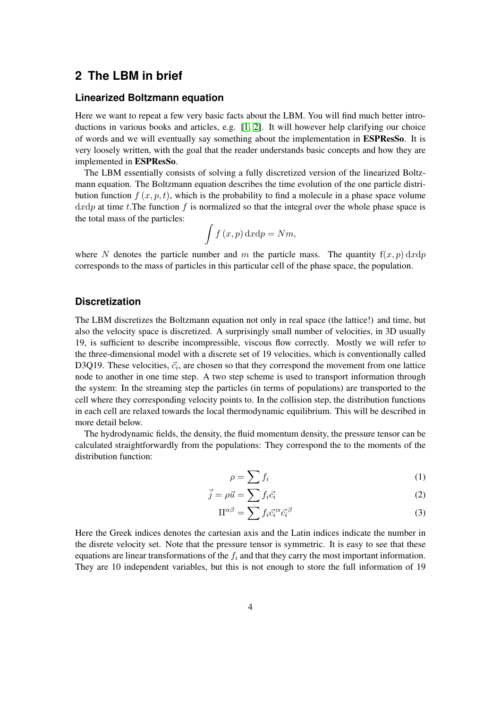# <span id="page-3-0"></span>**2 The LBM in brief**

#### **Linearized Boltzmann equation**

Here we want to repeat a few very basic facts about the LBM. You will find much better introductions in various books and articles, e.g. [\[1,](#page-20-0) [2\]](#page-20-1). It will however help clarifying our choice of words and we will eventually say something about the implementation in ESPResSo. It is very loosely written, with the goal that the reader understands basic concepts and how they are implemented in ESPResSo.

The LBM essentially consists of solving a fully discretized version of the linearized Boltzmann equation. The Boltzmann equation describes the time evolution of the one particle distribution function  $f(x, p, t)$ , which is the probability to find a molecule in a phase space volume  $dxdp$  at time t. The function f is normalized so that the integral over the whole phase space is the total mass of the particles:

$$
\int f(x,p)\,\mathrm{d}x\mathrm{d}p = Nm,
$$

where N denotes the particle number and m the particle mass. The quantity  $f(x, p) dx dp$ corresponds to the mass of particles in this particular cell of the phase space, the population.

## **Discretization**

The LBM discretizes the Boltzmann equation not only in real space (the lattice!) and time, but also the velocity space is discretized. A surprisingly small number of velocities, in 3D usually 19, is sufficient to describe incompressible, viscous flow correctly. Mostly we will refer to the three-dimensional model with a discrete set of 19 velocities, which is conventionally called D3Q19. These velocities,  $\vec{c}_i$ , are chosen so that they correspond the movement from one lattice node to another in one time step. A two step scheme is used to transport information through the system: In the streaming step the particles (in terms of populations) are transported to the cell where they corresponding velocity points to. In the collision step, the distribution functions in each cell are relaxed towards the local thermodynamic equilibrium. This will be described in more detail below.

The hydrodynamic fields, the density, the fluid momentum density, the pressure tensor can be calculated straightforwardly from the populations: They correspond the to the moments of the distribution function:

$$
\rho = \sum f_i \tag{1}
$$

$$
\vec{j} = \rho \vec{u} = \sum f_i \vec{c_i} \tag{2}
$$

$$
\Pi^{\alpha\beta} = \sum f_i \vec{c_i}^{\alpha} \vec{c_i}^{\beta} \tag{3}
$$

Here the Greek indices denotes the cartesian axis and the Latin indices indicate the number in the disrete velocity set. Note that the pressure tensor is symmetric. It is easy to see that these equations are linear transformations of the  $f_i$  and that they carry the most important information. They are 10 independent variables, but this is not enough to store the full information of 19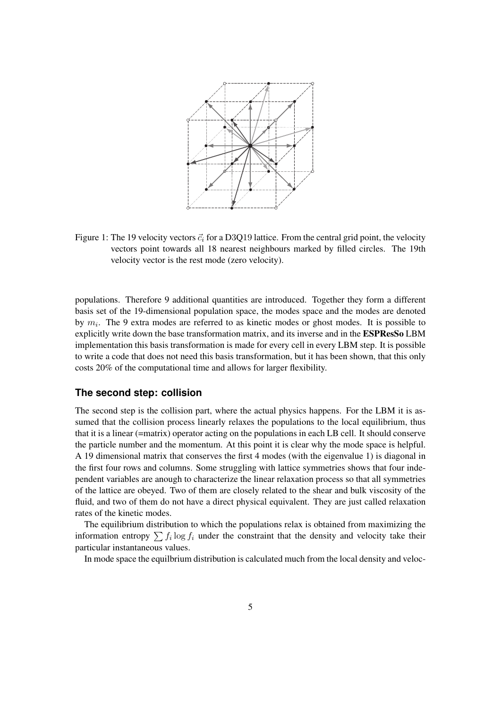

Figure 1: The 19 velocity vectors  $\vec{c}_i$  for a D3Q19 lattice. From the central grid point, the velocity vectors point towards all 18 nearest neighbours marked by filled circles. The 19th velocity vector is the rest mode (zero velocity).

populations. Therefore 9 additional quantities are introduced. Together they form a different basis set of the 19-dimensional population space, the modes space and the modes are denoted by  $m_i$ . The 9 extra modes are referred to as kinetic modes or ghost modes. It is possible to explicitly write down the base transformation matrix, and its inverse and in the ESPResSo LBM implementation this basis transformation is made for every cell in every LBM step. It is possible to write a code that does not need this basis transformation, but it has been shown, that this only costs 20% of the computational time and allows for larger flexibility.

#### **The second step: collision**

The second step is the collision part, where the actual physics happens. For the LBM it is assumed that the collision process linearly relaxes the populations to the local equilibrium, thus that it is a linear (=matrix) operator acting on the populations in each LB cell. It should conserve the particle number and the momentum. At this point it is clear why the mode space is helpful. A 19 dimensional matrix that conserves the first 4 modes (with the eigenvalue 1) is diagonal in the first four rows and columns. Some struggling with lattice symmetries shows that four independent variables are anough to characterize the linear relaxation process so that all symmetries of the lattice are obeyed. Two of them are closely related to the shear and bulk viscosity of the fluid, and two of them do not have a direct physical equivalent. They are just called relaxation rates of the kinetic modes.

The equilibrium distribution to which the populations relax is obtained from maximizing the information entropy  $\sum f_i \log f_i$  under the constraint that the density and velocity take their particular instantaneous values.

In mode space the equilbrium distribution is calculated much from the local density and veloc-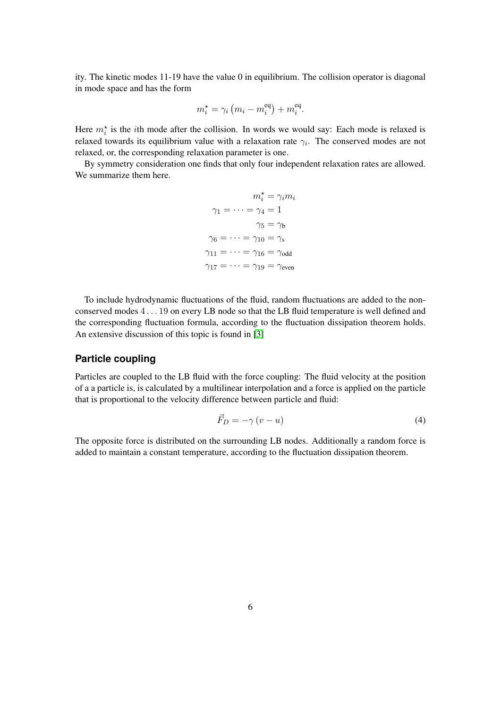ity. The kinetic modes 11-19 have the value 0 in equilibrium. The collision operator is diagonal in mode space and has the form

$$
m_i^* = \gamma_i \left( m_i - m_i^{\text{eq}} \right) + m_i^{\text{eq}}.
$$

Here  $m_i^*$  is the *i*th mode after the collision. In words we would say: Each mode is relaxed is relaxed towards its equilibrium value with a relaxation rate  $\gamma_i$ . The conserved modes are not relaxed, or, the corresponding relaxation parameter is one.

By symmetry consideration one finds that only four independent relaxation rates are allowed. We summarize them here.

$$
m_i^* = \gamma_i m_i
$$

$$
\gamma_1 = \dots = \gamma_4 = 1
$$

$$
\gamma_5 = \gamma_b
$$

$$
\gamma_6 = \dots = \gamma_{10} = \gamma_s
$$

$$
\gamma_{11} = \dots = \gamma_{16} = \gamma_{odd}
$$

$$
\gamma_{17} = \dots = \gamma_{19} = \gamma_{even}
$$

To include hydrodynamic fluctuations of the fluid, random fluctuations are added to the nonconserved modes 4 . . . 19 on every LB node so that the LB fluid temperature is well defined and the corresponding fluctuation formula, according to the fluctuation dissipation theorem holds. An extensive discussion of this topic is found in [\[3\]](#page-20-2)

#### **Particle coupling**

Particles are coupled to the LB fluid with the force coupling: The fluid velocity at the position of a a particle is, is calculated by a multilinear interpolation and a force is applied on the particle that is proportional to the velocity difference between particle and fluid:

<span id="page-5-0"></span>
$$
\vec{F}_D = -\gamma \left( v - u \right) \tag{4}
$$

The opposite force is distributed on the surrounding LB nodes. Additionally a random force is added to maintain a constant temperature, according to the fluctuation dissipation theorem.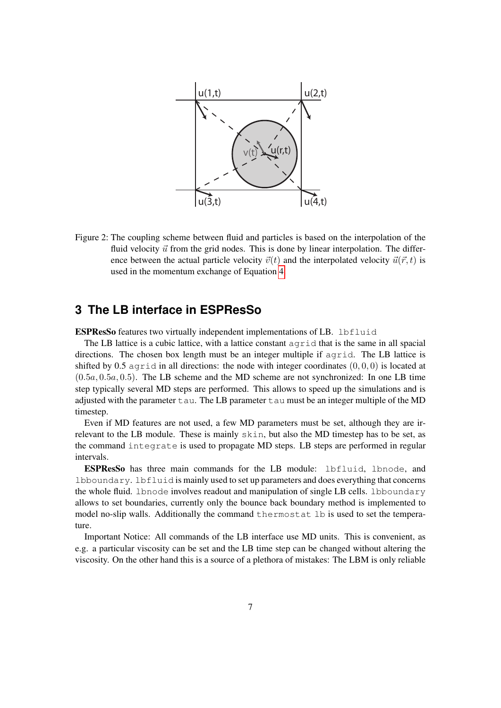

Figure 2: The coupling scheme between fluid and particles is based on the interpolation of the fluid velocity  $\vec{u}$  from the grid nodes. This is done by linear interpolation. The difference between the actual particle velocity  $\vec{v}(t)$  and the interpolated velocity  $\vec{u}(\vec{r}, t)$  is used in the momentum exchange of Equation [4.](#page-5-0)

# <span id="page-6-0"></span>**3 The LB interface in ESPResSo**

ESPResSo features two virtually independent implementations of LB. lbfluid

The LB lattice is a cubic lattice, with a lattice constant agrid that is the same in all spacial directions. The chosen box length must be an integer multiple if agrid. The LB lattice is shifted by 0.5 agrid in all directions: the node with integer coordinates  $(0, 0, 0)$  is located at  $(0.5a, 0.5a, 0.5)$ . The LB scheme and the MD scheme are not synchronized: In one LB time step typically several MD steps are performed. This allows to speed up the simulations and is adjusted with the parameter  $\tan$ . The LB parameter  $\tan$  must be an integer multiple of the MD timestep.

Even if MD features are not used, a few MD parameters must be set, although they are irrelevant to the LB module. These is mainly skin, but also the MD timestep has to be set, as the command integrate is used to propagate MD steps. LB steps are performed in regular intervals.

ESPResSo has three main commands for the LB module: lbfluid, lbnode, and lbboundary. lbfluid is mainly used to set up parameters and does everything that concerns the whole fluid. lbnode involves readout and manipulation of single LB cells. lbboundary allows to set boundaries, currently only the bounce back boundary method is implemented to model no-slip walls. Additionally the command thermostat lb is used to set the temperature.

Important Notice: All commands of the LB interface use MD units. This is convenient, as e.g. a particular viscosity can be set and the LB time step can be changed without altering the viscosity. On the other hand this is a source of a plethora of mistakes: The LBM is only reliable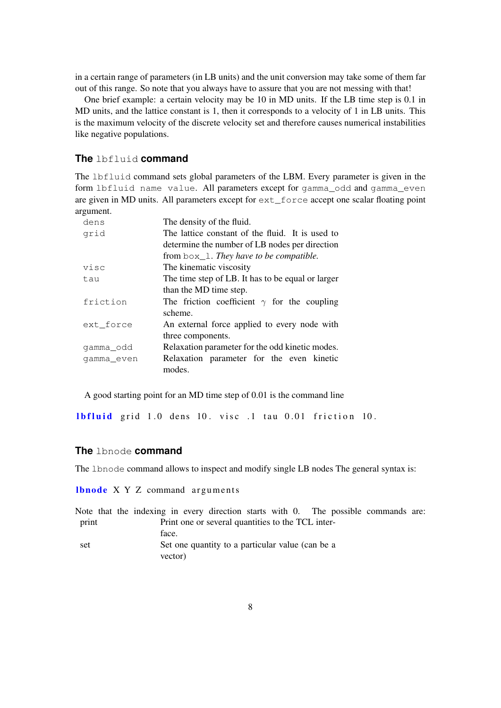in a certain range of parameters (in LB units) and the unit conversion may take some of them far out of this range. So note that you always have to assure that you are not messing with that!

One brief example: a certain velocity may be 10 in MD units. If the LB time step is 0.1 in MD units, and the lattice constant is 1, then it corresponds to a velocity of 1 in LB units. This is the maximum velocity of the discrete velocity set and therefore causes numerical instabilities like negative populations.

#### **The** lbfluid **command**

The lbfluid command sets global parameters of the LBM. Every parameter is given in the form lbfluid name value. All parameters except for gamma\_odd and gamma\_even are given in MD units. All parameters except for ext\_force accept one scalar floating point argument.

| dens       | The density of the fluid.                          |
|------------|----------------------------------------------------|
| grid       | The lattice constant of the fluid. It is used to   |
|            | determine the number of LB nodes per direction     |
|            | from $box_1$ . They have to be compatible.         |
| visc       | The kinematic viscosity                            |
| tau        | The time step of LB. It has to be equal or larger  |
|            | than the MD time step.                             |
| friction   | The friction coefficient $\gamma$ for the coupling |
|            | scheme.                                            |
| ext_force  | An external force applied to every node with       |
|            | three components.                                  |
| gamma_odd  | Relaxation parameter for the odd kinetic modes.    |
| gamma even | Relaxation parameter for the even kinetic          |
|            | modes.                                             |

A good starting point for an MD time step of 0.01 is the command line

**lbfluid** grid 1.0 dens 10. visc  $\cdot$  1 tau 0.01 friction 10.

#### **The** lbnode **command**

The lbnode command allows to inspect and modify single LB nodes The general syntax is:

**lbnode**  $X$   $Y$   $Z$  command arguments

Note that the indexing in every direction starts with 0. The possible commands are: print Print one or several quantities to the TCL interface. set Set one quantity to a particular value (can be a vector)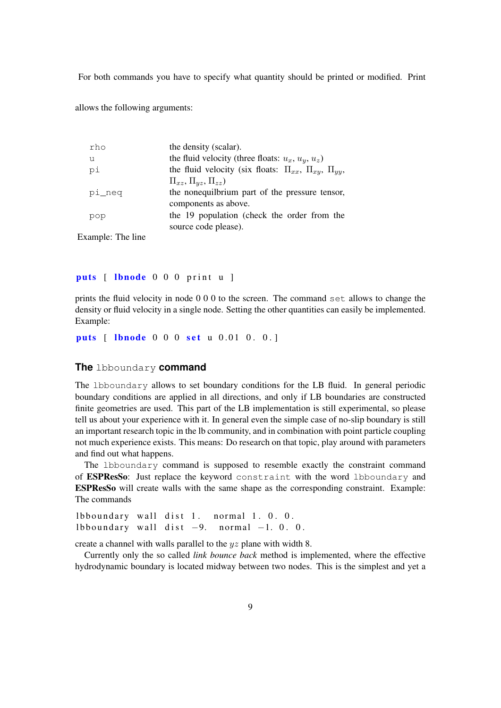For both commands you have to specify what quantity should be printed or modified. Print

allows the following arguments:

| rho    | the density (scalar).                                                  |
|--------|------------------------------------------------------------------------|
| u      | the fluid velocity (three floats: $u_x$ , $u_y$ , $u_z$ )              |
| pi     | the fluid velocity (six floats: $\Pi_{xx}$ , $\Pi_{xy}$ , $\Pi_{yy}$ , |
|        | $\Pi_{xz}, \Pi_{yz}, \Pi_{zz})$                                        |
| pi_neq | the nonequilbrium part of the pressure tensor,                         |
|        | components as above.                                                   |
| pop    | the 19 population (check the order from the                            |
|        | source code please).                                                   |

Example: The line

puts [ lbnode 0 0 0 print u ]

prints the fluid velocity in node 0 0 0 to the screen. The command set allows to change the density or fluid velocity in a single node. Setting the other quantities can easily be implemented. Example:

puts [ lbnode 0 0 0 set u 0.01 0. 0.]

#### **The** lbboundary **command**

The lbboundary allows to set boundary conditions for the LB fluid. In general periodic boundary conditions are applied in all directions, and only if LB boundaries are constructed finite geometries are used. This part of the LB implementation is still experimental, so please tell us about your experience with it. In general even the simple case of no-slip boundary is still an important research topic in the lb community, and in combination with point particle coupling not much experience exists. This means: Do research on that topic, play around with parameters and find out what happens.

The lbboundary command is supposed to resemble exactly the constraint command of ESPResSo: Just replace the keyword constraint with the word lbboundary and ESPResSo will create walls with the same shape as the corresponding constraint. Example: The commands

```
lbboundary wall dist 1. normal 1. 0. 0.
lbboundary wall dist -9. normal -1. 0. 0.
```
create a channel with walls parallel to the yz plane with width 8.

Currently only the so called *link bounce back* method is implemented, where the effective hydrodynamic boundary is located midway between two nodes. This is the simplest and yet a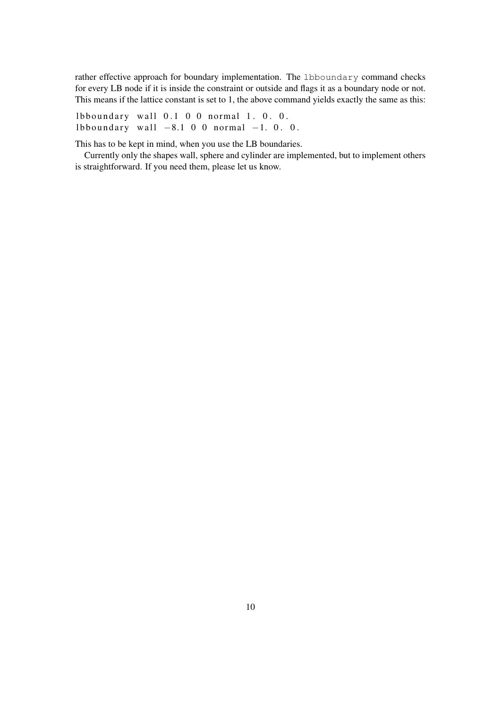rather effective approach for boundary implementation. The 1bboundary command checks for every LB node if it is inside the constraint or outside and flags it as a boundary node or not. This means if the lattice constant is set to 1, the above command yields exactly the same as this:

lbboundary wall  $0.1$  0 0 normal 1. 0. 0. lbboundary wall  $-8.1$  0 0 normal  $-1$ . 0. 0.

This has to be kept in mind, when you use the LB boundaries.

Currently only the shapes wall, sphere and cylinder are implemented, but to implement others is straightforward. If you need them, please let us know.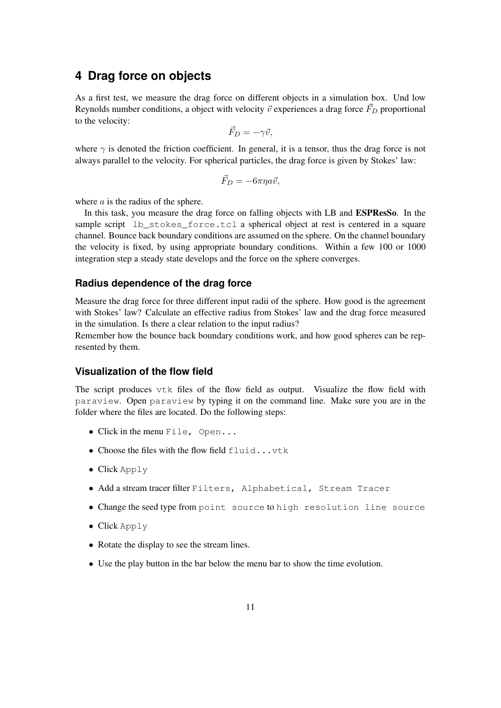# <span id="page-10-0"></span>**4 Drag force on objects**

As a first test, we measure the drag force on different objects in a simulation box. Und low Reynolds number conditions, a object with velocity  $\vec{v}$  experiences a drag force  $\vec{F}_D$  proportional to the velocity:

$$
\vec{F}_D = -\gamma \vec{v},
$$

where  $\gamma$  is denoted the friction coefficient. In general, it is a tensor, thus the drag force is not always parallel to the velocity. For spherical particles, the drag force is given by Stokes' law:

$$
\vec{F}_D = -6\pi\eta a \vec{v},
$$

where  $a$  is the radius of the sphere.

In this task, you measure the drag force on falling objects with LB and ESPResSo. In the sample script lb\_stokes\_force.tcl a spherical object at rest is centered in a square channel. Bounce back boundary conditions are assumed on the sphere. On the channel boundary the velocity is fixed, by using appropriate boundary conditions. Within a few 100 or 1000 integration step a steady state develops and the force on the sphere converges.

#### **Radius dependence of the drag force**

Measure the drag force for three different input radii of the sphere. How good is the agreement with Stokes' law? Calculate an effective radius from Stokes' law and the drag force measured in the simulation. Is there a clear relation to the input radius?

Remember how the bounce back boundary conditions work, and how good spheres can be represented by them.

#### **Visualization of the flow field**

The script produces vtk files of the flow field as output. Visualize the flow field with paraview. Open paraview by typing it on the command line. Make sure you are in the folder where the files are located. Do the following steps:

- Click in the menu File, Open...
- Choose the files with the flow field fluid...vtk
- Click Apply
- Add a stream tracer filter Filters, Alphabetical, Stream Tracer
- Change the seed type from point source to high resolution line source
- Click Apply
- Rotate the display to see the stream lines.
- Use the play button in the bar below the menu bar to show the time evolution.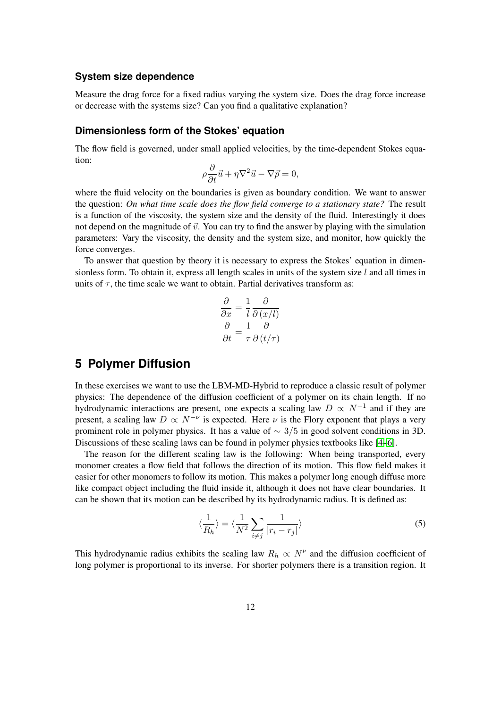## **System size dependence**

Measure the drag force for a fixed radius varying the system size. Does the drag force increase or decrease with the systems size? Can you find a qualitative explanation?

#### **Dimensionless form of the Stokes' equation**

The flow field is governed, under small applied velocities, by the time-dependent Stokes equation:

$$
\rho \frac{\partial}{\partial t} \vec{u} + \eta \nabla^2 \vec{u} - \nabla \vec{p} = 0,
$$

where the fluid velocity on the boundaries is given as boundary condition. We want to answer the question: *On what time scale does the flow field converge to a stationary state?* The result is a function of the viscosity, the system size and the density of the fluid. Interestingly it does not depend on the magnitude of  $\vec{v}$ . You can try to find the answer by playing with the simulation parameters: Vary the viscosity, the density and the system size, and monitor, how quickly the force converges.

To answer that question by theory it is necessary to express the Stokes' equation in dimensionless form. To obtain it, express all length scales in units of the system size  $l$  and all times in units of  $\tau$ , the time scale we want to obtain. Partial derivatives transform as:

$$
\frac{\partial}{\partial x} = \frac{1}{l} \frac{\partial}{\partial (x/l)}
$$

$$
\frac{\partial}{\partial t} = \frac{1}{\tau} \frac{\partial}{\partial (t/\tau)}
$$

# <span id="page-11-0"></span>**5 Polymer Diffusion**

In these exercises we want to use the LBM-MD-Hybrid to reproduce a classic result of polymer physics: The dependence of the diffusion coefficient of a polymer on its chain length. If no hydrodynamic interactions are present, one expects a scaling law  $D \propto N^{-1}$  and if they are present, a scaling law  $D \propto N^{-\nu}$  is expected. Here  $\nu$  is the Flory exponent that plays a very prominent role in polymer physics. It has a value of  $\sim$  3/5 in good solvent conditions in 3D. Discussions of these scaling laws can be found in polymer physics textbooks like [\[4–](#page-20-3)[6\]](#page-21-0).

The reason for the different scaling law is the following: When being transported, every monomer creates a flow field that follows the direction of its motion. This flow field makes it easier for other monomers to follow its motion. This makes a polymer long enough diffuse more like compact object including the fluid inside it, although it does not have clear boundaries. It can be shown that its motion can be described by its hydrodynamic radius. It is defined as:

$$
\langle \frac{1}{R_h} \rangle = \langle \frac{1}{N^2} \sum_{i \neq j} \frac{1}{|r_i - r_j|} \rangle \tag{5}
$$

This hydrodynamic radius exhibits the scaling law  $R_h \propto N^{\nu}$  and the diffusion coefficient of long polymer is proportional to its inverse. For shorter polymers there is a transition region. It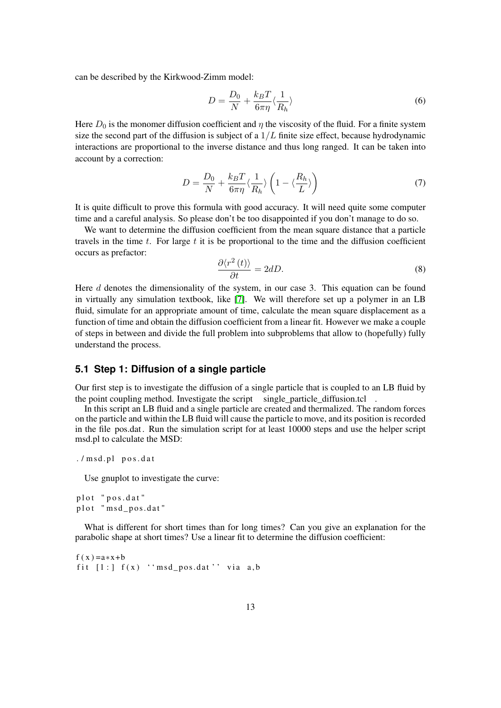can be described by the Kirkwood-Zimm model:

$$
D = \frac{D_0}{N} + \frac{k_B T}{6\pi\eta} \langle \frac{1}{R_h} \rangle
$$
\n<sup>(6)</sup>

Here  $D_0$  is the monomer diffusion coefficient and  $\eta$  the viscosity of the fluid. For a finite system size the second part of the diffusion is subject of a  $1/L$  finite size effect, because hydrodynamic interactions are proportional to the inverse distance and thus long ranged. It can be taken into account by a correction:

<span id="page-12-0"></span>
$$
D = \frac{D_0}{N} + \frac{k_B T}{6\pi\eta} \langle \frac{1}{R_h} \rangle \left( 1 - \langle \frac{R_h}{L} \rangle \right) \tag{7}
$$

It is quite difficult to prove this formula with good accuracy. It will need quite some computer time and a careful analysis. So please don't be too disappointed if you don't manage to do so.

We want to determine the diffusion coefficient from the mean square distance that a particle travels in the time  $t$ . For large  $t$  it is be proportional to the time and the diffusion coefficient occurs as prefactor:

$$
\frac{\partial \langle r^2(t) \rangle}{\partial t} = 2dD. \tag{8}
$$

Here d denotes the dimensionality of the system, in our case 3. This equation can be found in virtually any simulation textbook, like [\[7\]](#page-21-1). We will therefore set up a polymer in an LB fluid, simulate for an appropriate amount of time, calculate the mean square displacement as a function of time and obtain the diffusion coefficient from a linear fit. However we make a couple of steps in between and divide the full problem into subproblems that allow to (hopefully) fully understand the process.

## **5.1 Step 1: Diffusion of a single particle**

Our first step is to investigate the diffusion of a single particle that is coupled to an LB fluid by the point coupling method. Investigate the script single particle diffusion.tcl  $\cdot$ 

In this script an LB fluid and a single particle are created and thermalized. The random forces on the particle and within the LB fluid will cause the particle to move, and its position is recorded in the file pos.dat . Run the simulation script for at least 10000 steps and use the helper script msd.pl to calculate the MSD:

```
./msd.pl pos.dat
```
Use gnuplot to investigate the curve:

```
plot "pos.dat"
plot "msd_pos.dat"
```
What is different for short times than for long times? Can you give an explanation for the parabolic shape at short times? Use a linear fit to determine the diffusion coefficient:

```
f(x) = a*x + bfit [1:] f(x) ''msd_pos.dat'' via a,b
```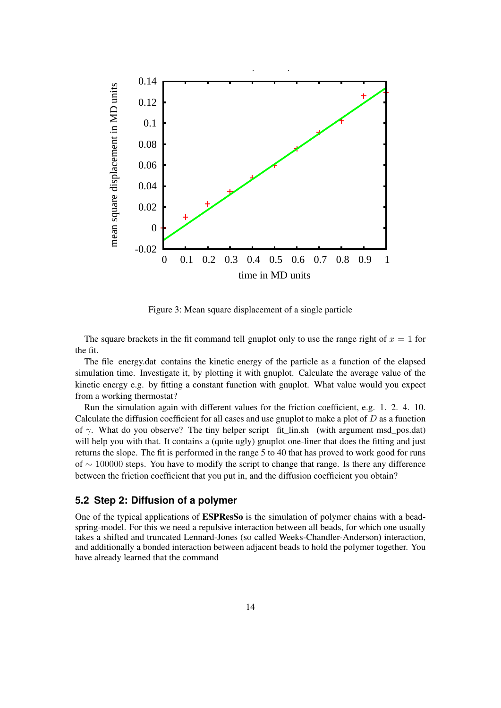

Figure 3: Mean square displacement of a single particle

The square brackets in the fit command tell gnuplot only to use the range right of  $x = 1$  for the fit.

The file energy.dat contains the kinetic energy of the particle as a function of the elapsed simulation time. Investigate it, by plotting it with gnuplot. Calculate the average value of the kinetic energy e.g. by fitting a constant function with gnuplot. What value would you expect from a working thermostat?

Run the simulation again with different values for the friction coefficient, e.g. 1. 2. 4. 10. Calculate the diffusion coefficient for all cases and use gnuplot to make a plot of  $D$  as a function of  $\gamma$ . What do you observe? The tiny helper script fit\_lin.sh (with argument msd\_pos.dat) will help you with that. It contains a (quite ugly) gnuplot one-liner that does the fitting and just returns the slope. The fit is performed in the range 5 to 40 that has proved to work good for runs of ∼ 100000 steps. You have to modify the script to change that range. Is there any difference between the friction coefficient that you put in, and the diffusion coefficient you obtain?

## **5.2 Step 2: Diffusion of a polymer**

One of the typical applications of ESPResSo is the simulation of polymer chains with a beadspring-model. For this we need a repulsive interaction between all beads, for which one usually takes a shifted and truncated Lennard-Jones (so called Weeks-Chandler-Anderson) interaction, and additionally a bonded interaction between adjacent beads to hold the polymer together. You have already learned that the command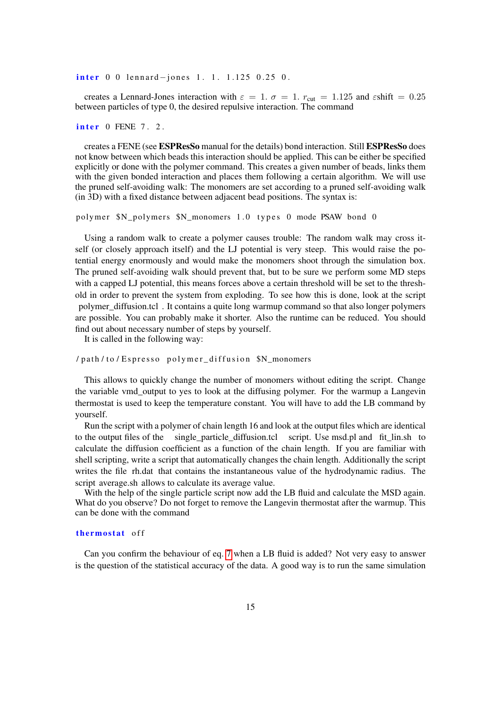$\frac{\text{inter}}{0}$  0 lennard-jones 1. 1. 1.125 0.25 0.

creates a Lennard-Jones interaction with  $\varepsilon = 1$ .  $\sigma = 1$ .  $r_{\text{cut}} = 1.125$  and  $\varepsilon \text{shift} = 0.25$ between particles of type 0, the desired repulsive interaction. The command

 $\frac{inter}{}$  0 FENE 7. 2.

creates a FENE (see ESPResSo manual for the details) bond interaction. Still ESPResSo does not know between which beads this interaction should be applied. This can be either be specified explicitly or done with the polymer command. This creates a given number of beads, links them with the given bonded interaction and places them following a certain algorithm. We will use the pruned self-avoiding walk: The monomers are set according to a pruned self-avoiding walk (in 3D) with a fixed distance between adjacent bead positions. The syntax is:

polymer \$N\_polymers \$N\_monomers 1.0 types 0 mode PSAW bond 0

Using a random walk to create a polymer causes trouble: The random walk may cross itself (or closely approach itself) and the LJ potential is very steep. This would raise the potential energy enormously and would make the monomers shoot through the simulation box. The pruned self-avoiding walk should prevent that, but to be sure we perform some MD steps with a capped LJ potential, this means forces above a certain threshold will be set to the threshold in order to prevent the system from exploding. To see how this is done, look at the script polymer\_diffusion.tcl . It contains a quite long warmup command so that also longer polymers are possible. You can probably make it shorter. Also the runtime can be reduced. You should find out about necessary number of steps by yourself.

It is called in the following way:

/path/to/Espresso polymer\_diffusion \$N\_monomers

This allows to quickly change the number of monomers without editing the script. Change the variable vmd\_output to yes to look at the diffusing polymer. For the warmup a Langevin thermostat is used to keep the temperature constant. You will have to add the LB command by yourself.

Run the script with a polymer of chain length 16 and look at the output files which are identical to the output files of the single\_particle\_diffusion.tcl script. Use msd.pl and fit\_lin.sh to calculate the diffusion coefficient as a function of the chain length. If you are familiar with shell scripting, write a script that automatically changes the chain length. Additionally the script writes the file rh.dat that contains the instantaneous value of the hydrodynamic radius. The script average.sh allows to calculate its average value.

With the help of the single particle script now add the LB fluid and calculate the MSD again. What do you observe? Do not forget to remove the Langevin thermostat after the warmup. This can be done with the command

#### thermostat off

Can you confirm the behaviour of eq. [7](#page-12-0) when a LB fluid is added? Not very easy to answer is the question of the statistical accuracy of the data. A good way is to run the same simulation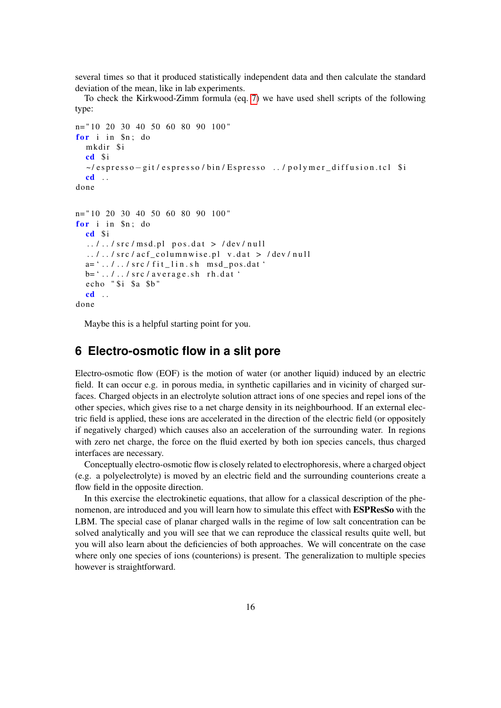several times so that it produced statistically independent data and then calculate the standard deviation of the mean, like in lab experiments.

To check the Kirkwood-Zimm formula (eq. [7\)](#page-12-0) we have used shell scripts of the following type:

```
n= " 10 20 30 40 50 60 80 90 100 "
for i in Sn: domkdir $i
  cd $i
  ~/ espresso – git / espresso / bin / Espresso ../ polymer_diffusion.tcl $i
  cd . .
done
n= " 10 20 30 40 50 60 80 90 100 "
for i in In: do
  cd $i
  \ldots / \ldots / src / msd.pl pos.dat > /dev/null
  \ldots, / src/acf columnwise.pl v.dat > /dev/null
  a = ' \ldots / \ldots / src / fit\_ lin.sh \text{ msd } pos.dat'b = ' \ldots / \ldots / src/average.sh rh.dat
  echo "$i $a $b"
  cd . .
done
```
Maybe this is a helpful starting point for you.

# <span id="page-15-0"></span>**6 Electro-osmotic flow in a slit pore**

Electro-osmotic flow (EOF) is the motion of water (or another liquid) induced by an electric field. It can occur e.g. in porous media, in synthetic capillaries and in vicinity of charged surfaces. Charged objects in an electrolyte solution attract ions of one species and repel ions of the other species, which gives rise to a net charge density in its neighbourhood. If an external electric field is applied, these ions are accelerated in the direction of the electric field (or oppositely if negatively charged) which causes also an acceleration of the surrounding water. In regions with zero net charge, the force on the fluid exerted by both ion species cancels, thus charged interfaces are necessary.

Conceptually electro-osmotic flow is closely related to electrophoresis, where a charged object (e.g. a polyelectrolyte) is moved by an electric field and the surrounding counterions create a flow field in the opposite direction.

In this exercise the electrokinetic equations, that allow for a classical description of the phenomenon, are introduced and you will learn how to simulate this effect with ESPResSo with the LBM. The special case of planar charged walls in the regime of low salt concentration can be solved analytically and you will see that we can reproduce the classical results quite well, but you will also learn about the deficiencies of both approaches. We will concentrate on the case where only one species of ions (counterions) is present. The generalization to multiple species however is straightforward.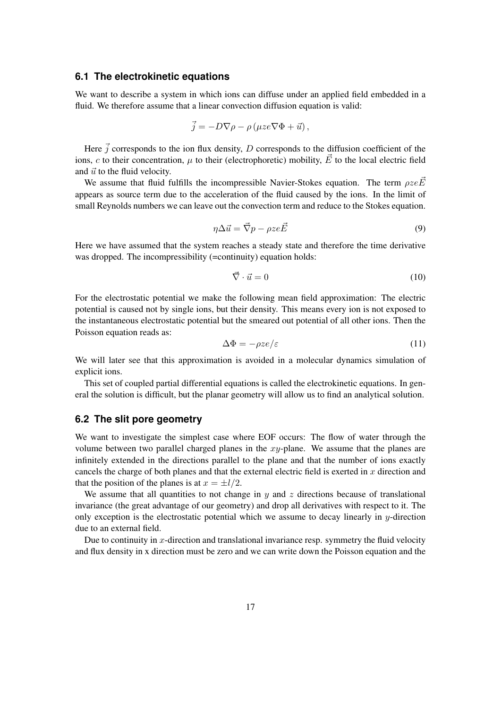#### **6.1 The electrokinetic equations**

We want to describe a system in which ions can diffuse under an applied field embedded in a fluid. We therefore assume that a linear convection diffusion equation is valid:

$$
\vec{j} = -D\nabla\rho - \rho(\mu z e \nabla\Phi + \vec{u}),
$$

Here  $\vec{j}$  corresponds to the ion flux density, D corresponds to the diffusion coefficient of the ions, c to their concentration,  $\mu$  to their (electrophoretic) mobility,  $\vec{E}$  to the local electric field and  $\vec{u}$  to the fluid velocity.

We assume that fluid fulfills the incompressible Navier-Stokes equation. The term  $\rho ze\vec{E}$ appears as source term due to the acceleration of the fluid caused by the ions. In the limit of small Reynolds numbers we can leave out the convection term and reduce to the Stokes equation.

$$
\eta \Delta \vec{u} = \vec{\nabla} p - \rho z e \vec{E} \tag{9}
$$

Here we have assumed that the system reaches a steady state and therefore the time derivative was dropped. The incompressibility (=continuity) equation holds:

$$
\vec{\nabla} \cdot \vec{u} = 0 \tag{10}
$$

For the electrostatic potential we make the following mean field approximation: The electric potential is caused not by single ions, but their density. This means every ion is not exposed to the instantaneous electrostatic potential but the smeared out potential of all other ions. Then the Poisson equation reads as:

$$
\Delta \Phi = -\rho z e/\varepsilon \tag{11}
$$

We will later see that this approximation is avoided in a molecular dynamics simulation of explicit ions.

This set of coupled partial differential equations is called the electrokinetic equations. In general the solution is difficult, but the planar geometry will allow us to find an analytical solution.

## **6.2 The slit pore geometry**

We want to investigate the simplest case where EOF occurs: The flow of water through the volume between two parallel charged planes in the  $xy$ -plane. We assume that the planes are infinitely extended in the directions parallel to the plane and that the number of ions exactly cancels the charge of both planes and that the external electric field is exerted in  $x$  direction and that the position of the planes is at  $x = \pm l/2$ .

We assume that all quantities to not change in  $y$  and  $z$  directions because of translational invariance (the great advantage of our geometry) and drop all derivatives with respect to it. The only exception is the electrostatic potential which we assume to decay linearly in  $y$ -direction due to an external field.

Due to continuity in x-direction and translational invariance resp. symmetry the fluid velocity and flux density in x direction must be zero and we can write down the Poisson equation and the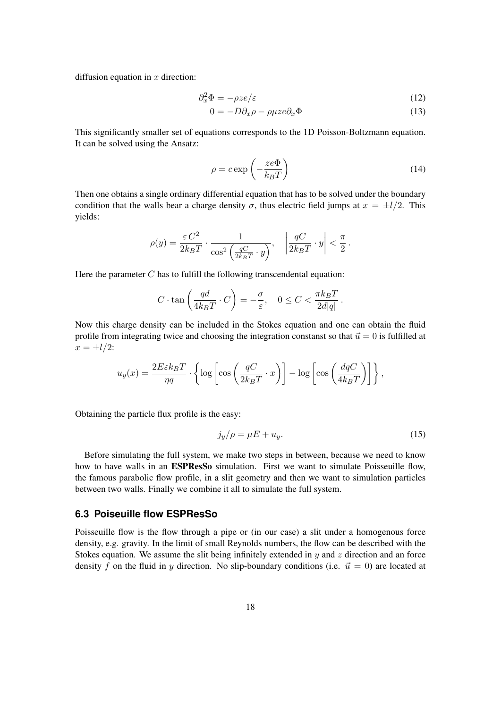diffusion equation in  $x$  direction:

$$
\partial_x^2 \Phi = -\rho z e/\varepsilon \tag{12}
$$

$$
0 = -D\partial_x \rho - \rho \mu z e \partial_x \Phi \tag{13}
$$

This significantly smaller set of equations corresponds to the 1D Poisson-Boltzmann equation. It can be solved using the Ansatz:

$$
\rho = c \exp\left(-\frac{ze\Phi}{k_B T}\right) \tag{14}
$$

Then one obtains a single ordinary differential equation that has to be solved under the boundary condition that the walls bear a charge density  $\sigma$ , thus electric field jumps at  $x = \pm l/2$ . This yields:

$$
\rho(y) = \frac{\varepsilon C^2}{2k_B T} \cdot \frac{1}{\cos^2\left(\frac{qC}{2k_B T} \cdot y\right)}, \quad \left|\frac{qC}{2k_B T} \cdot y\right| < \frac{\pi}{2}.
$$

Here the parameter  $C$  has to fulfill the following transcendental equation:

$$
C \cdot \tan\left(\frac{qd}{4k_BT} \cdot C\right) = -\frac{\sigma}{\varepsilon}, \quad 0 \le C < \frac{\pi k_BT}{2d|q|}.
$$

Now this charge density can be included in the Stokes equation and one can obtain the fluid profile from integrating twice and choosing the integration constanst so that  $\vec{u} = 0$  is fulfilled at  $x = \pm l/2$ :

$$
u_y(x) = \frac{2E\varepsilon k_BT}{\eta q} \cdot \left\{ \log \left[ \cos \left( \frac{qC}{2k_BT} \cdot x \right) \right] - \log \left[ \cos \left( \frac{dqC}{4k_BT} \right) \right] \right\},\,
$$

Obtaining the particle flux profile is the easy:

$$
j_y/\rho = \mu E + u_y. \tag{15}
$$

Before simulating the full system, we make two steps in between, because we need to know how to have walls in an **ESPResSo** simulation. First we want to simulate Poisseuille flow, the famous parabolic flow profile, in a slit geometry and then we want to simulation particles between two walls. Finally we combine it all to simulate the full system.

## **6.3 Poiseuille flow ESPResSo**

Poisseuille flow is the flow through a pipe or (in our case) a slit under a homogenous force density, e.g. gravity. In the limit of small Reynolds numbers, the flow can be described with the Stokes equation. We assume the slit being infinitely extended in  $y$  and  $z$  direction and an force density f on the fluid in y direction. No slip-boundary conditions (i.e.  $\vec{u} = 0$ ) are located at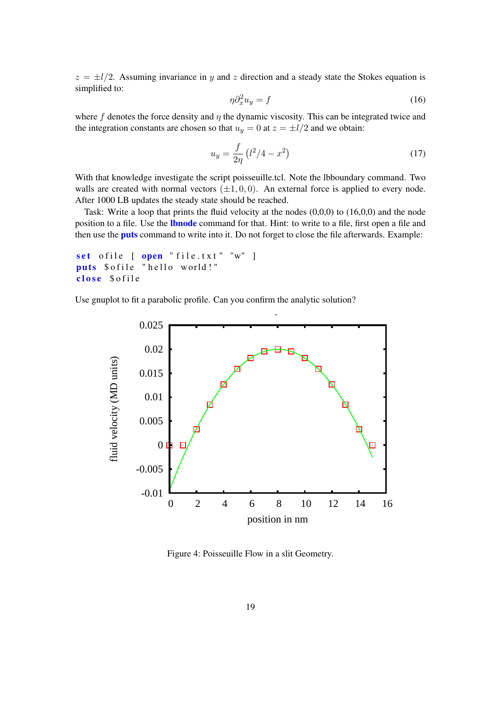$z = \pm l/2$ . Assuming invariance in y and z direction and a steady state the Stokes equation is simplified to:

$$
\eta \partial_x^2 u_y = f \tag{16}
$$

where f denotes the force density and  $\eta$  the dynamic viscosity. This can be integrated twice and the integration constants are chosen so that  $u_y = 0$  at  $z = \pm l/2$  and we obtain:

$$
u_y = \frac{f}{2\eta} \left( l^2 / 4 - x^2 \right) \tag{17}
$$

With that knowledge investigate the script poisseuille.tcl. Note the lbboundary command. Two walls are created with normal vectors  $(\pm 1, 0, 0)$ . An external force is applied to every node. After 1000 LB updates the steady state should be reached.

Task: Write a loop that prints the fluid velocity at the nodes (0,0,0) to (16,0,0) and the node position to a file. Use the **lbnode** command for that. Hint: to write to a file, first open a file and then use the **puts** command to write into it. Do not forget to close the file afterwards. Example:

```
set ofile [ open "file.txt" "w" ]
puts $ of ile " hello world!"
close $ of ile
```
Use gnuplot to fit a parabolic profile. Can you confirm the analytic solution?



Figure 4: Poisseuille Flow in a slit Geometry.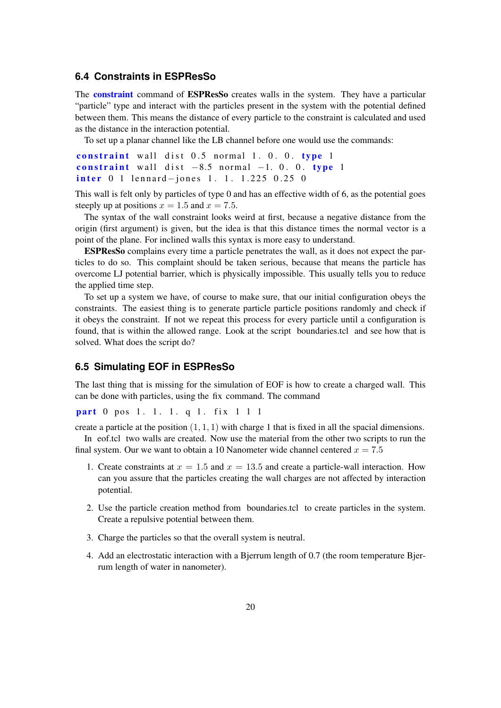#### **6.4 Constraints in ESPResSo**

The **constraint** command of **ESPResSo** creates walls in the system. They have a particular "particle" type and interact with the particles present in the system with the potential defined between them. This means the distance of every particle to the constraint is calculated and used as the distance in the interaction potential.

To set up a planar channel like the LB channel before one would use the commands:

```
constraint wall dist 0.5 normal 1.0.0. type 1constraint wall dist -8.5 normal -1.0. 0. type 1
inter 0 1 lennard-jones 1. 1. 1.225 0.25 0
```
This wall is felt only by particles of type 0 and has an effective width of 6, as the potential goes steeply up at positions  $x = 1.5$  and  $x = 7.5$ .

The syntax of the wall constraint looks weird at first, because a negative distance from the origin (first argument) is given, but the idea is that this distance times the normal vector is a point of the plane. For inclined walls this syntax is more easy to understand.

ESPResSo complains every time a particle penetrates the wall, as it does not expect the particles to do so. This complaint should be taken serious, because that means the particle has overcome LJ potential barrier, which is physically impossible. This usually tells you to reduce the applied time step.

To set up a system we have, of course to make sure, that our initial configuration obeys the constraints. The easiest thing is to generate particle particle positions randomly and check if it obeys the constraint. If not we repeat this process for every particle until a configuration is found, that is within the allowed range. Look at the script boundaries.tcl and see how that is solved. What does the script do?

## **6.5 Simulating EOF in ESPResSo**

The last thing that is missing for the simulation of EOF is how to create a charged wall. This can be done with particles, using the fix command. The command

part 0 pos 1. 1. 1. q 1. fix 1 1 1

create a particle at the position  $(1, 1, 1)$  with charge 1 that is fixed in all the spacial dimensions. In eof.tcl two walls are created. Now use the material from the other two scripts to run the

final system. Our we want to obtain a 10 Nanometer wide channel centered  $x = 7.5$ 

- 1. Create constraints at  $x = 1.5$  and  $x = 13.5$  and create a particle-wall interaction. How can you assure that the particles creating the wall charges are not affected by interaction potential.
- 2. Use the particle creation method from boundaries.tcl to create particles in the system. Create a repulsive potential between them.
- 3. Charge the particles so that the overall system is neutral.
- 4. Add an electrostatic interaction with a Bjerrum length of 0.7 (the room temperature Bjerrum length of water in nanometer).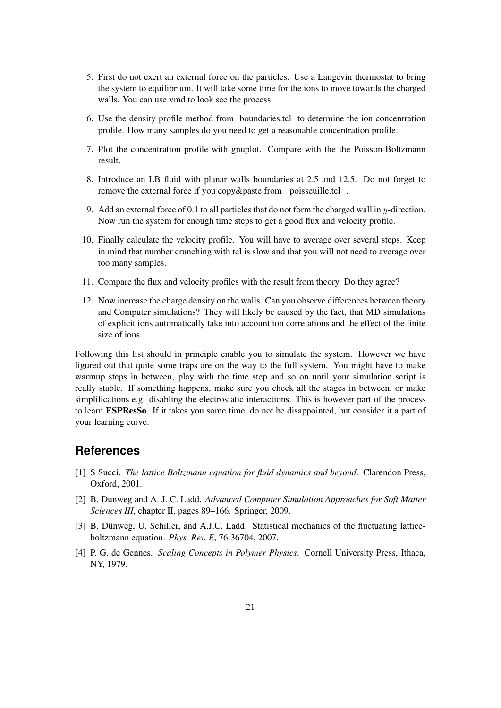- 5. First do not exert an external force on the particles. Use a Langevin thermostat to bring the system to equilibrium. It will take some time for the ions to move towards the charged walls. You can use vmd to look see the process.
- 6. Use the density profile method from boundaries.tcl to determine the ion concentration profile. How many samples do you need to get a reasonable concentration profile.
- 7. Plot the concentration profile with gnuplot. Compare with the the Poisson-Boltzmann result.
- 8. Introduce an LB fluid with planar walls boundaries at 2.5 and 12.5. Do not forget to remove the external force if you copy&paste from poisseuille.tcl .
- 9. Add an external force of 0.1 to all particles that do not form the charged wall in  $y$ -direction. Now run the system for enough time steps to get a good flux and velocity profile.
- 10. Finally calculate the velocity profile. You will have to average over several steps. Keep in mind that number crunching with tcl is slow and that you will not need to average over too many samples.
- 11. Compare the flux and velocity profiles with the result from theory. Do they agree?
- 12. Now increase the charge density on the walls. Can you observe differences between theory and Computer simulations? They will likely be caused by the fact, that MD simulations of explicit ions automatically take into account ion correlations and the effect of the finite size of ions.

Following this list should in principle enable you to simulate the system. However we have figured out that quite some traps are on the way to the full system. You might have to make warmup steps in between, play with the time step and so on until your simulation script is really stable. If something happens, make sure you check all the stages in between, or make simplifications e.g. disabling the electrostatic interactions. This is however part of the process to learn ESPResSo. If it takes you some time, do not be disappointed, but consider it a part of your learning curve.

# **References**

- <span id="page-20-0"></span>[1] S Succi. *The lattice Boltzmann equation for fluid dynamics and beyond*. Clarendon Press, Oxford, 2001.
- <span id="page-20-1"></span>[2] B. Dünweg and A. J. C. Ladd. *Advanced Computer Simulation Approaches for Soft Matter Sciences III*, chapter II, pages 89–166. Springer, 2009.
- <span id="page-20-2"></span>[3] B. Dünweg, U. Schiller, and A.J.C. Ladd. Statistical mechanics of the fluctuating latticeboltzmann equation. *Phys. Rev. E*, 76:36704, 2007.
- <span id="page-20-3"></span>[4] P. G. de Gennes. *Scaling Concepts in Polymer Physics*. Cornell University Press, Ithaca, NY, 1979.